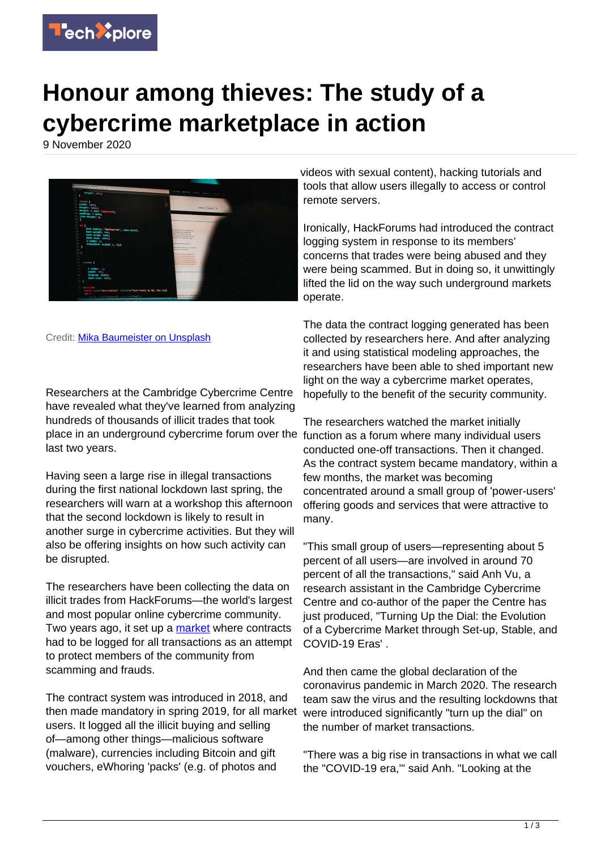

## **Honour among thieves: The study of a cybercrime marketplace in action**

9 November 2020



Credit: [Mika Baumeister on Unsplash](https://unsplash.com/photos/J5yoGZLdpSI)

Researchers at the Cambridge Cybercrime Centre have revealed what they've learned from analyzing hundreds of thousands of illicit trades that took place in an underground cybercrime forum over the function as a forum where many individual users last two years.

Having seen a large rise in illegal transactions during the first national lockdown last spring, the researchers will warn at a workshop this afternoon that the second lockdown is likely to result in another surge in cybercrime activities. But they will also be offering insights on how such activity can be disrupted.

The researchers have been collecting the data on illicit trades from HackForums—the world's largest and most popular online cybercrime community. Two years ago, it set up a [market](https://techxplore.com/tags/market/) where contracts had to be logged for all transactions as an attempt to protect members of the community from scamming and frauds.

The contract system was introduced in 2018, and then made mandatory in spring 2019, for all market users. It logged all the illicit buying and selling of—among other things—malicious software (malware), currencies including Bitcoin and gift vouchers, eWhoring 'packs' (e.g. of photos and

videos with sexual content), hacking tutorials and tools that allow users illegally to access or control remote servers.

Ironically, HackForums had introduced the contract logging system in response to its members' concerns that trades were being abused and they were being scammed. But in doing so, it unwittingly lifted the lid on the way such underground markets operate.

The data the contract logging generated has been collected by researchers here. And after analyzing it and using statistical modeling approaches, the researchers have been able to shed important new light on the way a cybercrime market operates, hopefully to the benefit of the security community.

The researchers watched the market initially conducted one-off transactions. Then it changed. As the contract system became mandatory, within a few months, the market was becoming concentrated around a small group of 'power-users' offering goods and services that were attractive to many.

"This small group of users—representing about 5 percent of all users—are involved in around 70 percent of all the transactions," said Anh Vu, a research assistant in the Cambridge Cybercrime Centre and co-author of the paper the Centre has just produced, "Turning Up the Dial: the Evolution of a Cybercrime Market through Set-up, Stable, and COVID-19 Eras' .

And then came the global declaration of the coronavirus pandemic in March 2020. The research team saw the virus and the resulting lockdowns that were introduced significantly "turn up the dial" on the number of market transactions.

"There was a big rise in transactions in what we call the "COVID-19 era,'" said Anh. "Looking at the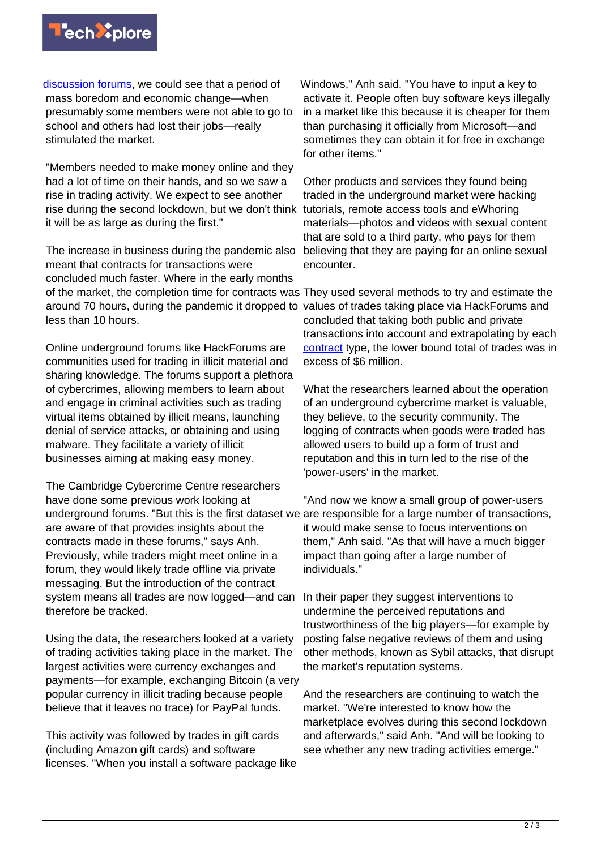

[discussion forums,](https://techxplore.com/tags/discussion+forums/) we could see that a period of mass boredom and economic change—when presumably some members were not able to go to school and others had lost their jobs—really stimulated the market.

"Members needed to make money online and they had a lot of time on their hands, and so we saw a rise in trading activity. We expect to see another rise during the second lockdown, but we don't think it will be as large as during the first."

The increase in business during the pandemic also meant that contracts for transactions were concluded much faster. Where in the early months of the market, the completion time for contracts was They used several methods to try and estimate the around 70 hours, during the pandemic it dropped to values of trades taking place via HackForums and less than 10 hours.

Online underground forums like HackForums are communities used for trading in illicit material and sharing knowledge. The forums support a plethora of cybercrimes, allowing members to learn about and engage in criminal activities such as trading virtual items obtained by illicit means, launching denial of service attacks, or obtaining and using malware. They facilitate a variety of illicit businesses aiming at making easy money.

The Cambridge Cybercrime Centre researchers have done some previous work looking at underground forums. "But this is the first dataset we are responsible for a large number of transactions, are aware of that provides insights about the contracts made in these forums," says Anh. Previously, while traders might meet online in a forum, they would likely trade offline via private messaging. But the introduction of the contract system means all trades are now logged—and can therefore be tracked.

Using the data, the researchers looked at a variety of trading activities taking place in the market. The largest activities were currency exchanges and payments—for example, exchanging Bitcoin (a very popular currency in illicit trading because people believe that it leaves no trace) for PayPal funds.

This activity was followed by trades in gift cards (including Amazon gift cards) and software licenses. "When you install a software package like

Windows," Anh said. "You have to input a key to activate it. People often buy software keys illegally in a market like this because it is cheaper for them than purchasing it officially from Microsoft—and sometimes they can obtain it for free in exchange for other items."

Other products and services they found being traded in the underground market were hacking tutorials, remote access tools and eWhoring materials—photos and videos with sexual content that are sold to a third party, who pays for them believing that they are paying for an online sexual encounter.

concluded that taking both public and private transactions into account and extrapolating by each [contract](https://techxplore.com/tags/contract/) type, the lower bound total of trades was in excess of \$6 million.

What the researchers learned about the operation of an underground cybercrime market is valuable, they believe, to the security community. The logging of contracts when goods were traded has allowed users to build up a form of trust and reputation and this in turn led to the rise of the 'power-users' in the market.

"And now we know a small group of power-users it would make sense to focus interventions on them," Anh said. "As that will have a much bigger impact than going after a large number of individuals."

In their paper they suggest interventions to undermine the perceived reputations and trustworthiness of the big players—for example by posting false negative reviews of them and using other methods, known as Sybil attacks, that disrupt the market's reputation systems.

And the researchers are continuing to watch the market. "We're interested to know how the marketplace evolves during this second lockdown and afterwards," said Anh. "And will be looking to see whether any new trading activities emerge."